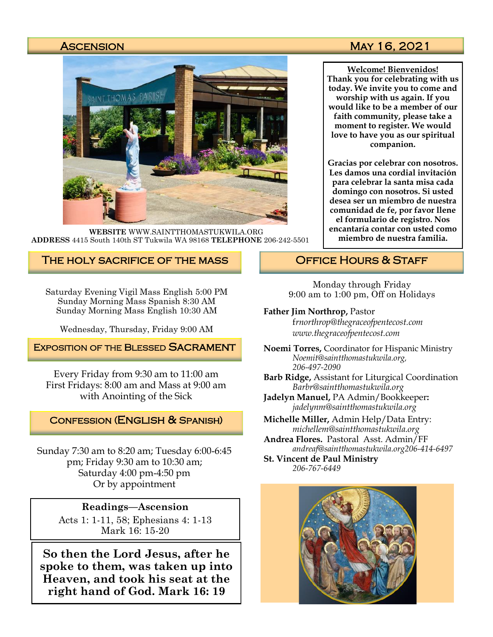

**WEBSITE** WWW.SAINTTHOMASTUKWILA.ORG **ADDRESS** 4415 South 140th ST Tukwila WA 98168 **TELEPHONE** 206-242-5501

### The holy sacrifice of the mass

Saturday Evening Vigil Mass English 5:00 PM Sunday Morning Mass Spanish 8:30 AM Sunday Morning Mass English 10:30 AM

Wednesday, Thursday, Friday 9:00 AM

### **EXPOSITION OF THE BLESSED SACRAMENT**

Every Friday from 9:30 am to 11:00 am First Fridays: 8:00 am and Mass at 9:00 am with Anointing of the Sick

### Confession (English & Spanish)

Sunday 7:30 am to 8:20 am; Tuesday 6:00-6:45 pm; Friday 9:30 am to 10:30 am; Saturday 4:00 pm-4:50 pm Or by appointment

### **Readings—Ascension**

Acts 1: 1-11, 58; Ephesians 4: 1-13 Mark 16: 15-20

**So then the Lord Jesus, after he spoke to them, was taken up into Heaven, and took his seat at the right hand of God. Mark 16: 19**

### Ascension May 16, 2021

**Welcome! Bienvenidos! Thank you for celebrating with us today. We invite you to come and worship with us again. If you would like to be a member of our faith community, please take a moment to register. We would love to have you as our spiritual companion.** 

**Gracias por celebrar con nosotros. Les damos una cordial invitación para celebrar la santa misa cada domingo con nosotros. Si usted desea ser un miembro de nuestra comunidad de fe, por favor llene el formulario de registro. Nos encantaría contar con usted como miembro de nuestra familia.**

### OFFICE HOURS & STAFF

Monday through Friday 9:00 am to 1:00 pm, Off on Holidays

#### **Father Jim Northrop,** Pastor

f*rnorthrop@thegraceofpentecost.com www.thegraceofpentecost.com* 

- **Noemi Torres,** Coordinator for Hispanic Ministry *Noemit@saintthomastukwila.org, 206-497-2090*
- **Barb Ridge,** Assistant for Liturgical Coordination *Barbr@saintthomastukwila.org*
- **Jadelyn Manuel,** PA Admin/Bookkeeper**:**  *jadelynm@saintthomastukwila.org*
- **Michelle Miller,** Admin Help/Data Entry: *michellem@saintthomastukwila.org*
- **Andrea Flores.** Pastoral Asst. Admin/FF *andreaf@saintthomastukwila.org206-414-6497*

**St. Vincent de Paul Ministry** *206-767-6449*

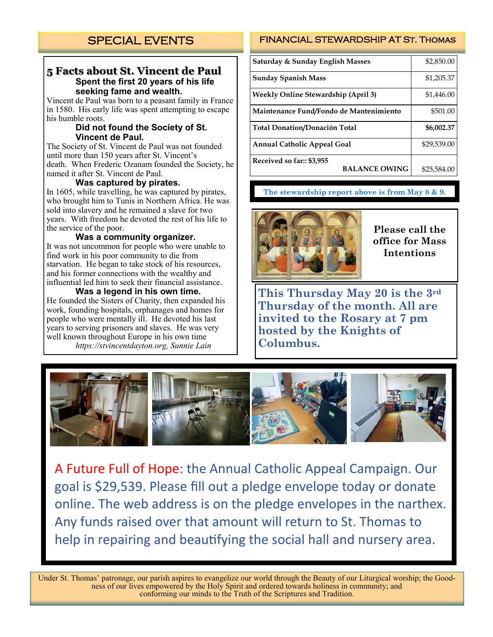### **5 Facts about St. Vincent de Paul Spent the first 20 years of his life seeking fame and wealth.**

Vincent de Paul was born to a peasant family in France in 1580. His early life was spent attempting to escape his humble roots.

#### **Did not found the Society of St. Vincent de Paul.**

The Society of St. Vincent de Paul was not founded until more than 150 years after St. Vincent's death. When Frederic Ozanam founded the Society, he named it after St. Vincent de Paul.

#### **Was captured by pirates.**

In 1605, while travelling, he was captured by pirates, who brought him to Tunis in Northern Africa. He was sold into slavery and he remained a slave for two years. With freedom he devoted the rest of his life to the service of the poor.

#### **Was a community organizer.**

It was not uncommon for people who were unable to find work in his poor community to die from starvation. He began to take stock of his resources, and his former connections with the wealthy and influential led him to seek their financial assistance.

#### **Was a legend in his own time.**

He founded the Sisters of Charity, then expanded his work, founding hospitals, orphanages and homes for people who were mentally ill. He devoted his last years to serving prisoners and slaves. He was very well known throughout Europe in his own time *https://stvincentdayton.org, Sunnie Lain*

### FINANCIAL STEWARDSHIP AT St. Thomas

| Saturday & Sunday English Masses                  | \$2,850.00  |
|---------------------------------------------------|-------------|
| <b>Sunday Spanish Mass</b>                        | \$1,205.37  |
| Weekly Online Stewardship (April 3)               | \$1,446.00  |
| Maintenance Fund/Fondo de Mantenimiento           | \$501.00    |
| Total Donation/Donación Total                     | \$6,002.37  |
| <b>Annual Catholic Appeal Goal</b>                | \$29,539.00 |
| Received so far:: \$3,955<br><b>BALANCE OWING</b> | \$25,584.00 |
|                                                   |             |

### **The stewardship report above is from May 8 & 9.**



**Please call the office for Mass Intentions**

**This Thursday May 20 is the 3rd Thursday of the month. All are invited to the Rosary at 7 pm hosted by the Knights of Columbus.** 



A Future Full of Hope: the Annual Catholic Appeal Campaign. Our goal is \$29,539. Please fill out a pledge envelope today or donate online. The web address is on the pledge envelopes in the narthex. Any funds raised over that amount will return to St. Thomas to help in repairing and beautifying the social hall and nursery area.

Under St. Thomas' patronage, our parish aspires to evangelize our world through the Beauty of our Liturgical worship; the Goodness of our lives empowered by the Holy Spirit and ordered towards holiness in community; and conforming our minds to the Truth of the Scriptures and Tradition.